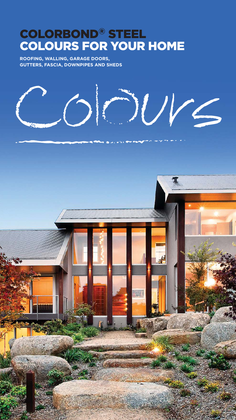# **COLORBOND<sup>®</sup> STEEL<br>COLOURS FOR YOUR HOME**

ROOFING, WALLING, GARAGE DOORS. **GUTTERS, FASCIA, DOWNPIPES AND SHEDS** 

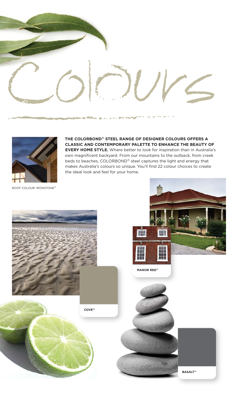



**IHE COLORBOND® SIEEL RANGE OF DESIGNER COLOURS OFFERS A CLASSIC AND CONIEMPORARY PALEIIE IO ENHANCE IHE BEAUIY OF EVERY HOME SIYLE.** Where better to look for inspiration than in Australia's own magnificent backyard. From our mountains to the outback, from creek beds to beaches, COLORBOND® steel captures the light and energy that makes Australia's colours so unique. You'll find 22 colour choices to create the ideal look and feel for your home.

ROOF COLOUR: IRONSTONE®

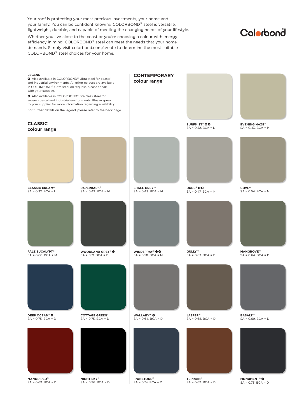Your roof is protecting your most precious investments, your home and your family. You can be confident knowing COLORBOND® steel is versatile, lightweight, durable, and capable of meeting the changing needs of your lifestyle.

Whether you live close to the coast or you're choosing a colour with energyefficiency in mind, COLORBOND® steel can meet the needs that your home demands. Simply visit colorbond.com/create to determine the most suitable COLORBOND® steel choices for your home.

## Colorbond

| <b>LEGEND</b><br>Also available in COLORBOND® Ultra steel for coastal<br>and industrial environments. All other colours are available<br>in COLORBOND® Ultra steel on request, please speak<br>with your supplier.<br>Also available in COLORBOND® Stainless steel for<br>severe coastal and industrial environments. Please speak<br>to your supplier for more information regarding availability.<br>For further details on the legend, please refer to the back page. |                                                    | <b>CONTEMPORARY</b><br>colour range <sup>1</sup> |                                                |                                                 |
|--------------------------------------------------------------------------------------------------------------------------------------------------------------------------------------------------------------------------------------------------------------------------------------------------------------------------------------------------------------------------------------------------------------------------------------------------------------------------|----------------------------------------------------|--------------------------------------------------|------------------------------------------------|-------------------------------------------------|
| <b>CLASSIC</b><br>colour range <sup>1</sup>                                                                                                                                                                                                                                                                                                                                                                                                                              |                                                    |                                                  | <b>SURFMIST® OG</b><br>$SA = 0.32$ . $BCA = L$ | <b>EVENING HAZE®</b><br>$SA = 0.43$ . $BCA = M$ |
|                                                                                                                                                                                                                                                                                                                                                                                                                                                                          |                                                    |                                                  |                                                |                                                 |
| <b>CLASSIC CREAM™</b><br>$SA = 0.32$ . $BCA = L$                                                                                                                                                                                                                                                                                                                                                                                                                         | <b>PAPERBARK®</b><br>$SA = 0.42$ . $BCA = M$       | <b>SHALE GREY™</b><br>$SA = 0.43$ . $BCA = M$    | <b>DUNE®</b> 00<br>$SA = 0.47$ . $BCA = M$     | COVE™<br>$SA = 0.54$ . $BCA = M$                |
|                                                                                                                                                                                                                                                                                                                                                                                                                                                                          |                                                    |                                                  |                                                |                                                 |
| <b>PALE EUCALYPT®</b><br>$SA = 0.60$ . $BCA = M$                                                                                                                                                                                                                                                                                                                                                                                                                         | <b>WOODLAND GREY® O</b><br>$SA = 0.71$ . $BCA = D$ | WINDSPRAY® 00<br>$SA = 0.58$ . $BCA = M$         | GULLY™<br>$SA = 0.63$ . $BCA = D$              | MANGROVE™<br>$SA = 0.64$ . $BCA = D$            |
|                                                                                                                                                                                                                                                                                                                                                                                                                                                                          |                                                    |                                                  |                                                |                                                 |
| <b>DEEP OCEAN®</b><br>$SA = 0.75$ . $BCA = D$                                                                                                                                                                                                                                                                                                                                                                                                                            | <b>COTTAGE GREEN®</b><br>$SA = 0.75$ . $BCA = D$   | <b>WALLABY™ ©</b><br>$SA = 0.64$ . $BCA = D$     | <b>JASPER®</b><br>$SA = 0.68$ . $BCA = D$      | BASALT™<br>$SA = 0.69$ . $BCA = D$              |
|                                                                                                                                                                                                                                                                                                                                                                                                                                                                          |                                                    |                                                  |                                                |                                                 |
| <b>MANOR RED®</b><br>$SA = 0.69$ . $BCA = D$                                                                                                                                                                                                                                                                                                                                                                                                                             | <b>NIGHT SKY®</b><br>$SA = 0.96$ . $BCA = D$       | <b>IRONSTONE®</b><br>$SA = 0.74$ . $BCA = D$     | <b>TERRAIN®</b><br>$SA = 0.69$ . $BCA = D$     | <b>MONUMENT®</b><br>$SA = 0.73$ . $BCA = D$     |